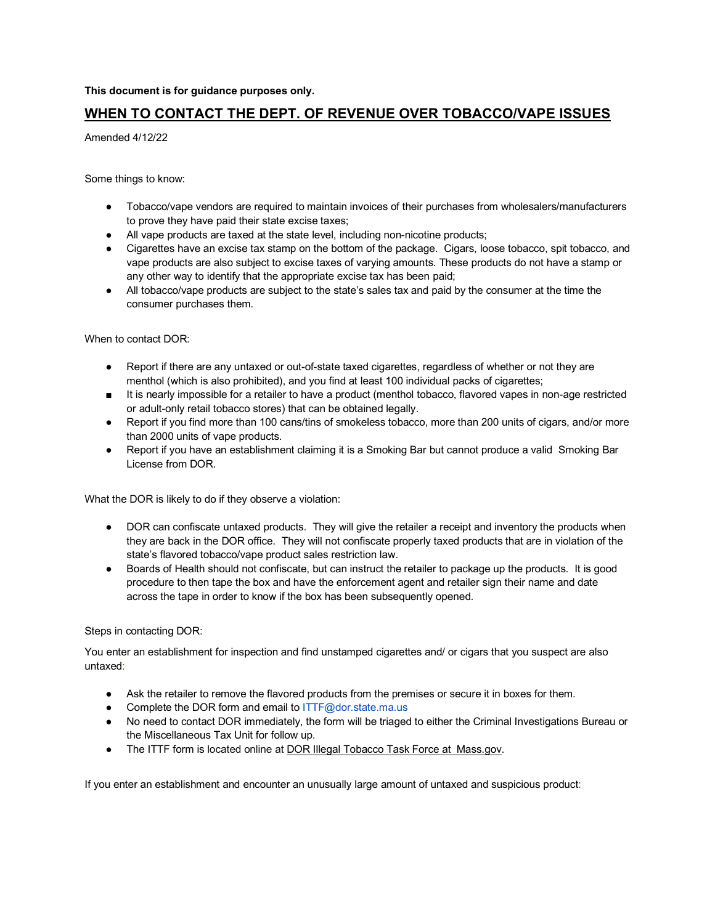## **This document is for guidance purposes only.**

## **WHEN TO CONTACT THE DEPT. OF REVENUE OVER TOBACCO/VAPE ISSUES**

Amended 4/12/22

Some things to know:

- Tobacco/vape vendors are required to maintain invoices of their purchases from wholesalers/manufacturers to prove they have paid their state excise taxes;
- All vape products are taxed at the state level, including non-nicotine products;
- Cigarettes have an excise tax stamp on the bottom of the package. Cigars, loose tobacco, spit tobacco, and vape products are also subject to excise taxes of varying amounts. These products do not have a stamp or any other way to identify that the appropriate excise tax has been paid;
- All tobacco/vape products are subject to the state's sales tax and paid by the consumer at the time the consumer purchases them.

When to contact DOR:

- Report if there are any untaxed or out-of-state taxed cigarettes, regardless of whether or not they are menthol (which is also prohibited), and you find at least 100 individual packs of cigarettes;
- It is nearly impossible for a retailer to have a product (menthol tobacco, flavored vapes in non-age restricted or adult-only retail tobacco stores) that can be obtained legally.
- Report if you find more than 100 cans/tins of smokeless tobacco, more than 200 units of cigars, and/or more than 2000 units of vape products.
- Report if you have an establishment claiming it is a Smoking Bar but cannot produce a valid Smoking Bar License from DOR.

What the DOR is likely to do if they observe a violation:

- DOR can confiscate untaxed products. They will give the retailer a receipt and inventory the products when they are back in the DOR office. They will not confiscate properly taxed products that are in violation of the state's flavored tobacco/vape product sales restriction law.
- Boards of Health should not confiscate, but can instruct the retailer to package up the products. It is good procedure to then tape the box and have the enforcement agent and retailer sign their name and date across the tape in order to know if the box has been subsequently opened.

## Steps in contacting DOR:

You enter an establishment for inspection and find unstamped cigarettes and/ or cigars that you suspect are also untaxed:

- Ask the retailer to remove the flavored products from the premises or secure it in boxes for them.
- Complete the DOR form and email to ITTF@dor.state.ma.us
- No need to contact DOR immediately, the form will be triaged to either the Criminal Investigations Bureau or the Miscellaneous Tax Unit for follow up.
- The ITTF form is located online at DOR Illegal Tobacco Task Force at Mass.gov.

If you enter an establishment and encounter an unusually large amount of untaxed and suspicious product: